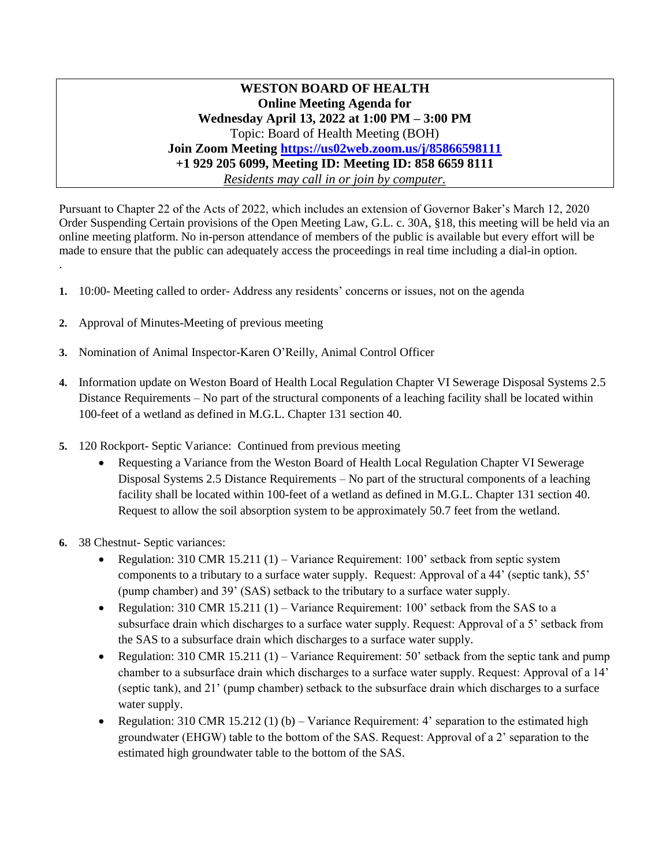**WESTON BOARD OF HEALTH Online Meeting Agenda for Wednesday April 13, 2022 at 1:00 PM – 3:00 PM** Topic: Board of Health Meeting (BOH) **Join Zoom Meeting<https://us02web.zoom.us/j/85866598111> +1 929 205 6099, Meeting ID: Meeting ID: 858 6659 8111** *Residents may call in or join by computer.*

Pursuant to Chapter 22 of the Acts of 2022, which includes an extension of Governor Baker's March 12, 2020 Order Suspending Certain provisions of the Open Meeting Law, G.L. c. 30A, §18, this meeting will be held via an online meeting platform. No in-person attendance of members of the public is available but every effort will be made to ensure that the public can adequately access the proceedings in real time including a dial-in option.

- **1.** 10:00- Meeting called to order- Address any residents' concerns or issues, not on the agenda
- **2.** Approval of Minutes-Meeting of previous meeting
- **3.** Nomination of Animal Inspector-Karen O'Reilly, Animal Control Officer
- **4.** Information update on Weston Board of Health Local Regulation Chapter VI Sewerage Disposal Systems 2.5 Distance Requirements – No part of the structural components of a leaching facility shall be located within 100-feet of a wetland as defined in M.G.L. Chapter 131 section 40.
- **5.** 120 Rockport- Septic Variance: Continued from previous meeting
	- Requesting a Variance from the Weston Board of Health Local Regulation Chapter VI Sewerage Disposal Systems 2.5 Distance Requirements – No part of the structural components of a leaching facility shall be located within 100-feet of a wetland as defined in M.G.L. Chapter 131 section 40. Request to allow the soil absorption system to be approximately 50.7 feet from the wetland.
- **6.** 38 Chestnut- Septic variances:

.

- Regulation: 310 CMR 15.211 (1) Variance Requirement: 100' setback from septic system components to a tributary to a surface water supply. Request: Approval of a 44' (septic tank), 55' (pump chamber) and 39' (SAS) setback to the tributary to a surface water supply.
- Regulation:  $310$  CMR  $15.211$  (1) Variance Requirement:  $100'$  setback from the SAS to a subsurface drain which discharges to a surface water supply. Request: Approval of a 5' setback from the SAS to a subsurface drain which discharges to a surface water supply.
- Regulation: 310 CMR 15.211 (1) Variance Requirement: 50' setback from the septic tank and pump chamber to a subsurface drain which discharges to a surface water supply. Request: Approval of a 14' (septic tank), and 21' (pump chamber) setback to the subsurface drain which discharges to a surface water supply.
- Regulation: 310 CMR 15.212 (1) (b) Variance Requirement: 4' separation to the estimated high groundwater (EHGW) table to the bottom of the SAS. Request: Approval of a 2' separation to the estimated high groundwater table to the bottom of the SAS.